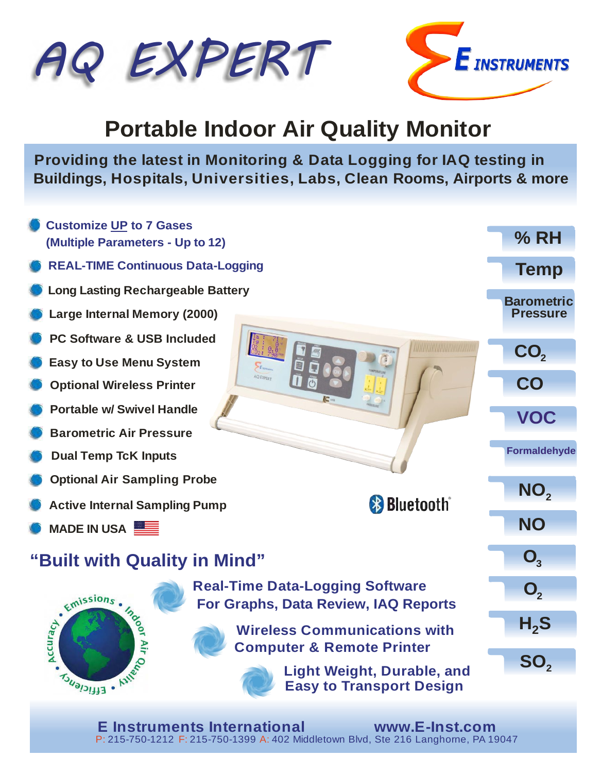



# **Portable Indoor Air Quality Monitor**

**Providing the latest in Monitoring & Data Logging for IAQ testing in Buildings, Hospitals, Universities, Labs, Clean Rooms, Airports & more**



**E Instruments International www.E-Inst.com** P: 215-750-1212 F: 215-750-1399 A: 402 Middletown Blvd, Ste 216 Langhorne, PA 19047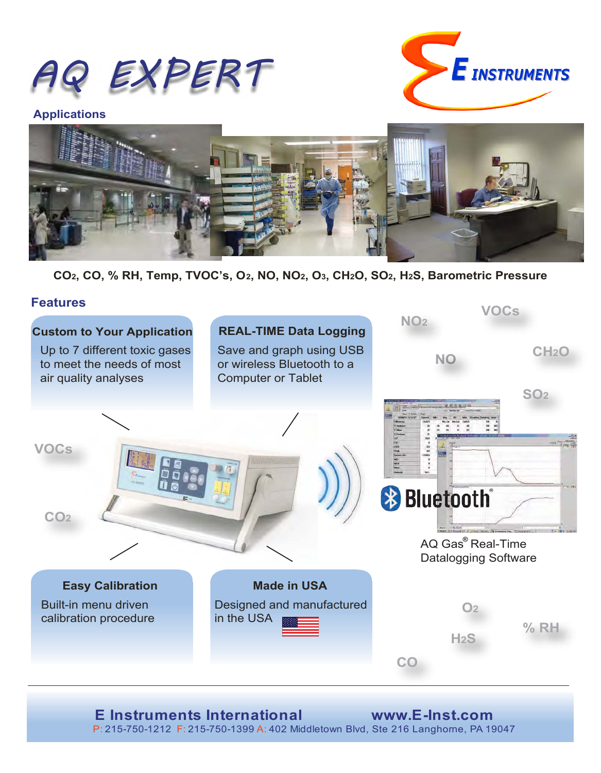



**Applications**



**CO2, CO, % RH, Temp, TVOC's, O2, NO, NO2, O3, CH2O, SO2, H2S, Barometric Pressure**

#### **Features**



P: 215-750-1212 F: 215-750-1399 A: 402 Middletown Blvd, Ste 216 Langhorne, PA 19047 **E Instruments International www.E-Inst.com**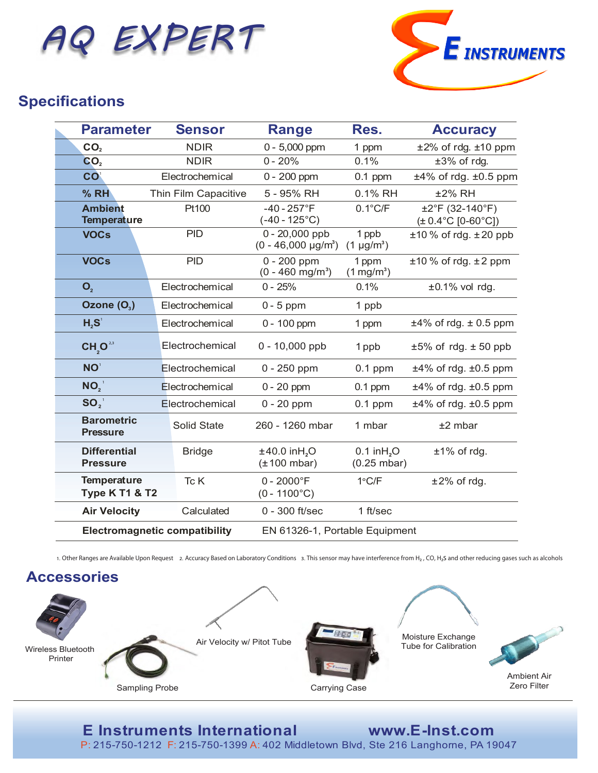



## **Specifications**

| <b>Parameter</b>                                | <b>Sensor</b>                        | <b>Range</b>                                      | Res.                                               | <b>Accuracy</b>                                             |
|-------------------------------------------------|--------------------------------------|---------------------------------------------------|----------------------------------------------------|-------------------------------------------------------------|
| CO <sub>2</sub>                                 | <b>NDIR</b>                          | $0 - 5,000$ ppm                                   | 1 ppm                                              | $±2\%$ of rdg. $±10$ ppm                                    |
| CO <sub>2</sub>                                 | <b>NDIR</b>                          | $0 - 20%$                                         | 0.1%                                               | ±3% of rdg.                                                 |
| <b>CO</b>                                       | Electrochemical                      | $0 - 200$ ppm                                     | $0.1$ ppm                                          | $±4\%$ of rdg. $±0.5$ ppm                                   |
| % RH                                            | Thin Film Capacitive                 | 5 - 95% RH                                        | 0.1% RH                                            | ±2% RH                                                      |
| <b>Ambient</b><br><b>Temperature</b>            | Pt100                                | $-40 - 257$ °F<br>$(-40 - 125^{\circ}C)$          | $0.1^{\circ}$ C/F                                  | ±2°F (32-140°F)<br>$(\pm 0.4^{\circ}C$ [0-60 $^{\circ}C$ ]) |
| <b>VOCs</b>                                     | <b>PID</b>                           | $0 - 20,000$ ppb<br>$(0 - 46,000 \text{ µg/m}^3)$ | 1 ppb<br>$(1 \mu g/m^3)$                           | $±10\%$ of rdg. $±20$ ppb                                   |
| <b>VOCs</b>                                     | <b>PID</b>                           | $0 - 200$ ppm<br>$(0 - 460$ mg/m <sup>3</sup> )   | 1 ppm<br>$(1 \text{ mg/m}^3)$                      | $±10%$ of rdg. $±2$ ppm                                     |
| $\mathbf{O}_{2}$                                | Electrochemical                      | $0 - 25%$                                         | 0.1%                                               | $±0.1\%$ vol rdg.                                           |
| Ozone $(O_3)$                                   | Electrochemical                      | $0 - 5$ ppm                                       | 1 ppb                                              |                                                             |
| H <sub>2</sub> S <sup>1</sup>                   | Electrochemical                      | $0 - 100$ ppm                                     | 1 ppm                                              | $\pm 4\%$ of rdg. $\pm 0.5$ ppm                             |
| $CH_2O^{23}$                                    | Electrochemical                      | $0 - 10,000$ ppb                                  | 1 ppb                                              | $±5\%$ of rdg. $±50$ ppb                                    |
| NO <sup>1</sup>                                 | Electrochemical                      | $0 - 250$ ppm                                     | $0.1$ ppm                                          | $±4\%$ of rdg. $±0.5$ ppm                                   |
| NO <sub>2</sub>                                 | Electrochemical                      | $0 - 20$ ppm                                      | $0.1$ ppm                                          | $±4\%$ of rdg. $±0.5$ ppm                                   |
| $SO_2$                                          | Electrochemical                      | $0 - 20$ ppm                                      | $0.1$ ppm                                          | $±4\%$ of rdg. $±0.5$ ppm                                   |
| <b>Barometric</b><br><b>Pressure</b>            | <b>Solid State</b>                   | 260 - 1260 mbar                                   | 1 mbar                                             | $±2$ mbar                                                   |
| <b>Differential</b><br><b>Pressure</b>          | <b>Bridge</b>                        | ±40.0 inH <sub>2</sub> O<br>$(\pm 100$ mbar)      | $0.1$ in H <sub>2</sub> O<br>$(0.25 \text{ mbar})$ | $±1\%$ of rdg.                                              |
| <b>Temperature</b><br><b>Type K T1 &amp; T2</b> | Tc K                                 | $0 - 2000$ °F<br>$(0 - 1100^{\circ}C)$            | $1^{\circ}$ C/F                                    | $±2\%$ of rdg.                                              |
| <b>Air Velocity</b>                             | Calculated                           | $0 - 300$ ft/sec                                  | 1 ft/sec                                           |                                                             |
|                                                 | <b>Electromagnetic compatibility</b> | EN 61326-1, Portable Equipment                    |                                                    |                                                             |

1. Other Ranges are Available Upon Request 2. Accuracy Based on Laboratory Conditions 3. This sensor may have interference from H<sub>2</sub>, CO, H<sub>2</sub>S and other reducing gases such as alcohols



# **E Instruments International www.E-Inst.com**

P: 215-750-1212 F: 215-750-1399 A: 402 Middletown Blvd, Ste 216 Langhorne, PA 19047